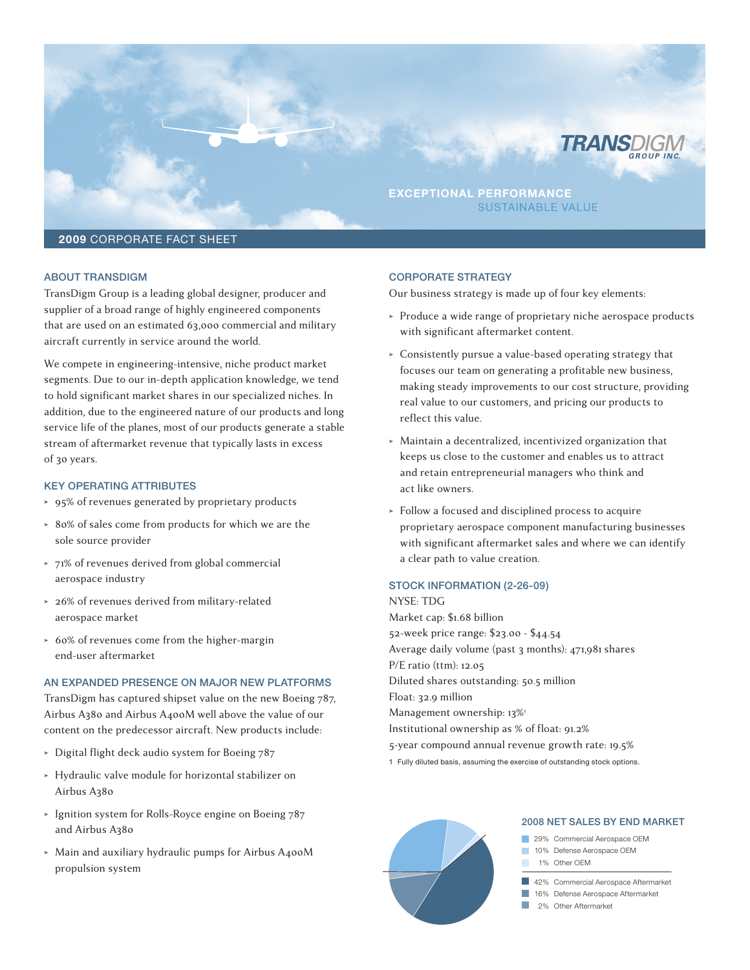

# aBout transdIGm

TransDigm Group is a leading global designer, producer and supplier of a broad range of highly engineered components that are used on an estimated 63,000 commercial and military aircraft currently in service around the world.

We compete in engineering-intensive, niche product market segments. Due to our in-depth application knowledge, we tend to hold significant market shares in our specialized niches. In addition, due to the engineered nature of our products and long service life of the planes, most of our products generate a stable stream of aftermarket revenue that typically lasts in excess of 30 years.

## Key oPeratInG attrIButes

- ➤ 95% of revenues generated by proprietary products
- ➤ 80% of sales come from products for which we are the sole source provider
- ➤ 71% of revenues derived from global commercial aerospace industry
- ➤ 26% of revenues derived from military-related aerospace market
- ➤ 60% of revenues come from the higher-margin end-user aftermarket

#### an eXPanded PresenCe on maJor new Platforms

TransDigm has captured shipset value on the new Boeing 787, Airbus A380 and Airbus A400M well above the value of our content on the predecessor aircraft. New products include:

- ➤ Digital flight deck audio system for Boeing 787
- ➤ Hydraulic valve module for horizontal stabilizer on Airbus A380
- ➤ Ignition system for Rolls-Royce engine on Boeing 787 and Airbus A380
- ➤ Main and auxiliary hydraulic pumps for Airbus A400M propulsion system

#### CorPorate strateGy

Our business strategy is made up of four key elements:

- ➤ Produce a wide range of proprietary niche aerospace products with significant aftermarket content.
- ➤ Consistently pursue a value-based operating strategy that focuses our team on generating a profitable new business, making steady improvements to our cost structure, providing real value to our customers, and pricing our products to reflect this value.
- ➤ Maintain a decentralized, incentivized organization that keeps us close to the customer and enables us to attract and retain entrepreneurial managers who think and act like owners.
- ➤ Follow a focused and disciplined process to acquire proprietary aerospace component manufacturing businesses with significant aftermarket sales and where we can identify a clear path to value creation.

## STOCK INFORMATION (2-26-09)

NYSE: TDG Market cap: \$1.68 billion 52-week price range: \$23.00 - \$44.54 Average daily volume (past 3 months): 471,981 shares P/E ratio (ttm): 12.05 Diluted shares outstanding: 50.5 million Float: 32.9 million Management ownership: 13%1 Institutional ownership as % of float: 91.2% 5-year compound annual revenue growth rate: 19.5%

1 Fully diluted basis, assuming the exercise of outstanding stock options.



#### 2008 net sales By end marKet

29% Commercial Aerospace OEM 10% Defense Aerospace OEM 1% Other OEM

42% Commercial Aerospace Aftermarket

**16%** Defense Aerospace Aftermarket

2% Other Aftermarket